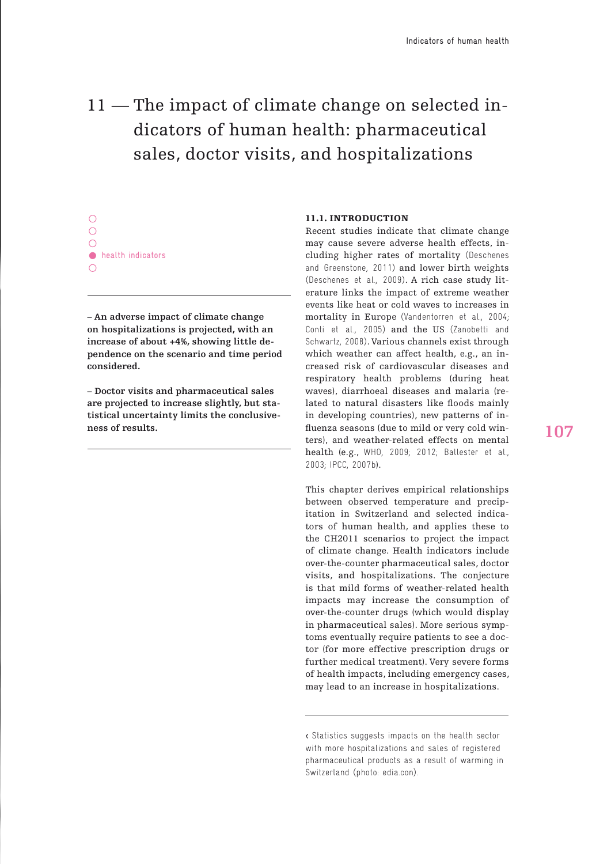# 11 –The impact of climate change on selected indicators of human health: pharmaceutical sales, doctor visits, and hospitalizations

 $\circ$  $\bigcirc$ **•** health indicators

**– An adverse impact of climate change on hospitalizations is projected, with an increase of about +4%, showing little dependence on the scenario and time period considered.**

**– Doctor visits and pharmaceutical sales are projected to increase slightly, but statistical uncertainty limits the conclusiveness of results.**

# 11.1. INTRODUCTION

Recent studies indicate that climate change may cause severe adverse health effects, including higher rates of mortality (Deschenes and Greenstone, 2011) and lower birth weights (Deschenes et al., 2009). A rich case study literature links the impact of extreme weather events like heat or cold waves to increases in mortality in Europe (Vandentorren et al., 2004; Conti et al., 2005) and the US (Zanobetti and Schwartz, 2008). Various channels exist through which weather can affect health, e.g., an increased risk of cardiovascular diseases and respiratory health problems (during heat waves), diarrhoeal diseases and malaria (related to natural disasters like floods mainly in developing countries), new patterns of influenza seasons (due to mild or very cold winters), and weather-related effects on mental health (e.g., WHO, 2009; 2012; Ballester et al., 2003; IPCC, 2007b).

This chapter derives empirical relationships between observed temperature and precipitation in Switzerland and selected indicators of human health, and applies these to the CH2011 scenarios to project the impact of climate change. Health indicators include over-the-counter pharmaceutical sales, doctor visits, and hospitalizations. The conjecture is that mild forms of weather-related health impacts may increase the consumption of over-the-counter drugs (which would display in pharmaceutical sales). More serious symptoms eventually require patients to see a doctor (for more effective prescription drugs or further medical treatment). Very severe forms of health impacts, including emergency cases, may lead to an increase in hospitalizations.

<sup>&</sup>lt; Statistics suggests impacts on the health sector with more hospitalizations and sales of registered pharmaceutical products as a result of warming in Switzerland (photo: edia.con).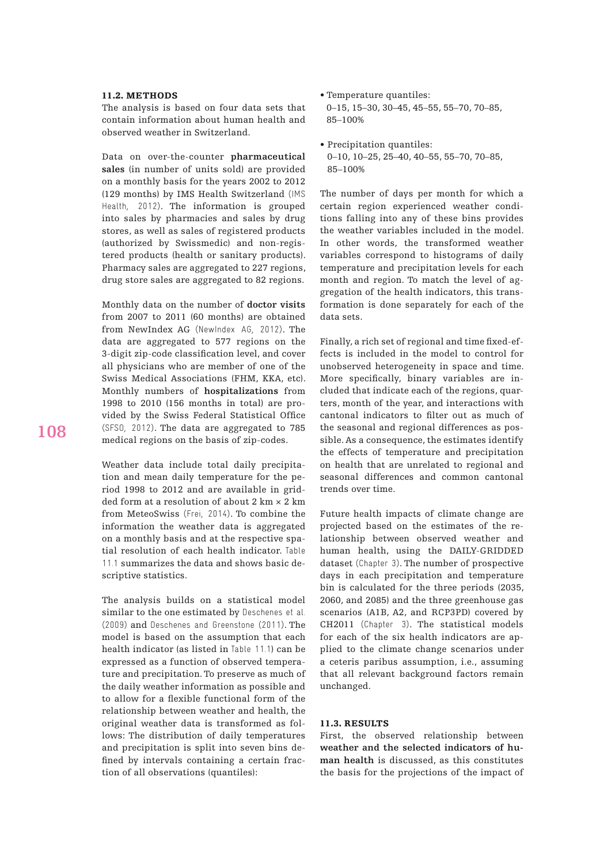#### 11.2. METHODS

The analysis is based on four data sets that contain information about human health and observed weather in Switzerland.

Data on over-the-counter **pharmaceutical sales** (in number of units sold) are provided on a monthly basis for the years 2002 to 2012 (129 months) by IMS Health Switzerland (IMS Health, 2012). The information is grouped into sales by pharmacies and sales by drug stores, as well as sales of registered products (authorized by Swissmedic) and non-registered products (health or sanitary products). Pharmacy sales are aggregated to 227 regions, drug store sales are aggregated to 82 regions.

Monthly data on the number of **doctor visits** from 2007 to 2011 (60 months) are obtained from NewIndex AG (NewIndex AG, 2012). The data are aggregated to 577 regions on the 3-digit zip-code classification level, and cover all physicians who are member of one of the Swiss Medical Associations (FHM, KKA, etc). Monthly numbers of **hospitalizations** from 1998 to 2010 (156 months in total) are provided by the Swiss Federal Statistical Office (SFSO, 2012). The data are aggregated to 785 medical regions on the basis of zip-codes.

Weather data include total daily precipitation and mean daily temperature for the period 1998 to 2012 and are available in gridded form at a resolution of about  $2 \text{ km} \times 2 \text{ km}$ from MeteoSwiss (Frei, 2014). To combine the information the weather data is aggregated on a monthly basis and at the respective spatial resolution of each health indicator. Table 11.1 summarizes the data and shows basic descriptive statistics.

The analysis builds on a statistical model similar to the one estimated by Deschenes et al. (2009) and Deschenes and Greenstone (2011). The model is based on the assumption that each health indicator (as listed in Table 11.1) can be expressed as a function of observed temperature and precipitation. To preserve as much of the daily weather information as possible and to allow for a flexible functional form of the relationship between weather and health, the original weather data is transformed as follows: The distribution of daily temperatures and precipitation is split into seven bins defined by intervals containing a certain fraction of all observations (quantiles):

- **•** Temperature quantiles: 0–15, 15–30, 30–45, 45–55, 55–70, 70–85, 85–100%
- Precipitation quantiles: 0–10, 10–25, 25–40, 40–55, 55–70, 70–85, 85–100%

The number of days per month for which a certain region experienced weather conditions falling into any of these bins provides the weather variables included in the model. In other words, the transformed weather variables correspond to histograms of daily temperature and precipitation levels for each month and region. To match the level of aggregation of the health indicators, this transformation is done separately for each of the data sets.

Finally, a rich set of regional and time fixed-effects is included in the model to control for unobserved heterogeneity in space and time. More specifically, binary variables are included that indicate each of the regions, quarters, month of the year, and interactions with cantonal indicators to filter out as much of the seasonal and regional differences as possible. As a consequence, the estimates identify the effects of temperature and precipitation on health that are unrelated to regional and seasonal differences and common cantonal trends over time.

Future health impacts of climate change are projected based on the estimates of the relationship between observed weather and human health, using the DAILY-GRIDDED dataset (Chapter 3). The number of prospective days in each precipitation and temperature bin is calculated for the three periods (2035, 2060, and 2085) and the three greenhouse gas scenarios (A1B, A2, and RCP3PD) covered by CH2011 (Chapter 3). The statistical models for each of the six health indicators are applied to the climate change scenarios under a ceteris paribus assumption, i.e., assuming that all relevant background factors remain unchanged.

## 11.3. RESULTS

First, the observed relationship between **weather and the selected indicators of human health** is discussed, as this constitutes the basis for the projections of the impact of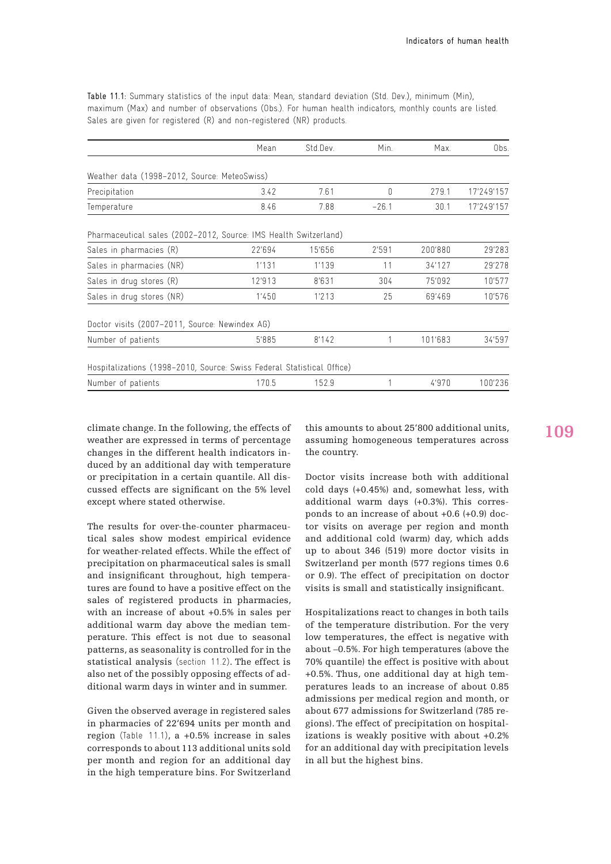Table 11.1: Summary statistics of the input data: Mean, standard deviation (Std. Dev.), minimum (Min), maximum (Max) and number of observations (Obs.). For human health indicators, monthly counts are listed. Sales are given for registered (R) and non-registered (NR) products.

|                                                                        | Mean   | Std.Dev. | Min.    | Max.    | Obs.       |
|------------------------------------------------------------------------|--------|----------|---------|---------|------------|
| Weather data (1998-2012, Source: MeteoSwiss)                           |        |          |         |         |            |
| Precipitation                                                          | 3.42   | 7.61     | 0       | 279.1   | 17'249'157 |
| Temperature                                                            | 8.46   | 7.88     | $-26.1$ | 30.1    | 17'249'157 |
| Pharmaceutical sales (2002-2012, Source: IMS Health Switzerland)       |        |          |         |         |            |
| Sales in pharmacies (R)                                                | 22'694 | 15'656   | 2'591   | 200'880 | 29'283     |
| Sales in pharmacies (NR)                                               | 1'131  | 1'139    | 11      | 34'127  | 29'278     |
| Sales in drug stores (R)                                               | 12'913 | 8'631    | 304     | 75'092  | 10'577     |
| Sales in drug stores (NR)                                              | 1'450  | 1'213    | 25      | 69'469  | 10'576     |
| Doctor visits (2007-2011, Source: Newindex AG)                         |        |          |         |         |            |
| Number of patients                                                     | 5'885  | 8'142    |         | 101'683 | 34'597     |
| Hospitalizations (1998-2010, Source: Swiss Federal Statistical Office) |        |          |         |         |            |
| Number of patients                                                     | 170.5  | 152.9    | 1       | 4'970   | 100'236    |

climate change. In the following, the effects of weather are expressed in terms of percentage changes in the different health indicators induced by an additional day with temperature or precipitation in a certain quantile. All discussed effects are significant on the 5% level except where stated otherwise.

The results for over-the-counter pharmaceutical sales show modest empirical evidence for weather-related effects. While the effect of precipitation on pharmaceutical sales is small and insignificant throughout, high temperatures are found to have a positive effect on the sales of registered products in pharmacies, with an increase of about +0.5% in sales per additional warm day above the median temperature. This effect is not due to seasonal patterns, as seasonality is controlled for in the statistical analysis (section 11.2). The effect is also net of the possibly opposing effects of additional warm days in winter and in summer.

Given the observed average in registered sales in pharmacies of 22'694 units per month and region (Table 11.1), a +0.5% increase in sales corresponds to about 113 additional units sold per month and region for an additional day in the high temperature bins. For Switzerland this amounts to about 25'800 additional units, assuming homogeneous temperatures across the country.

Doctor visits increase both with additional cold days (+0.45%) and, somewhat less, with additional warm days (+0.3%). This corresponds to an increase of about +0.6 (+0.9) doctor visits on average per region and month and additional cold (warm) day, which adds up to about 346 (519) more doctor visits in Switzerland per month (577 regions times 0.6 or 0.9). The effect of precipitation on doctor visits is small and statistically insignificant.

Hospitalizations react to changes in both tails of the temperature distribution. For the very low temperatures, the effect is negative with about –0.5%. For high temperatures (above the 70% quantile) the effect is positive with about +0.5%. Thus, one additional day at high temperatures leads to an increase of about 0.85 admissions per medical region and month, or about 677 admissions for Switzerland (785 regions). The effect of precipitation on hospitalizations is weakly positive with about +0.2% for an additional day with precipitation levels in all but the highest bins.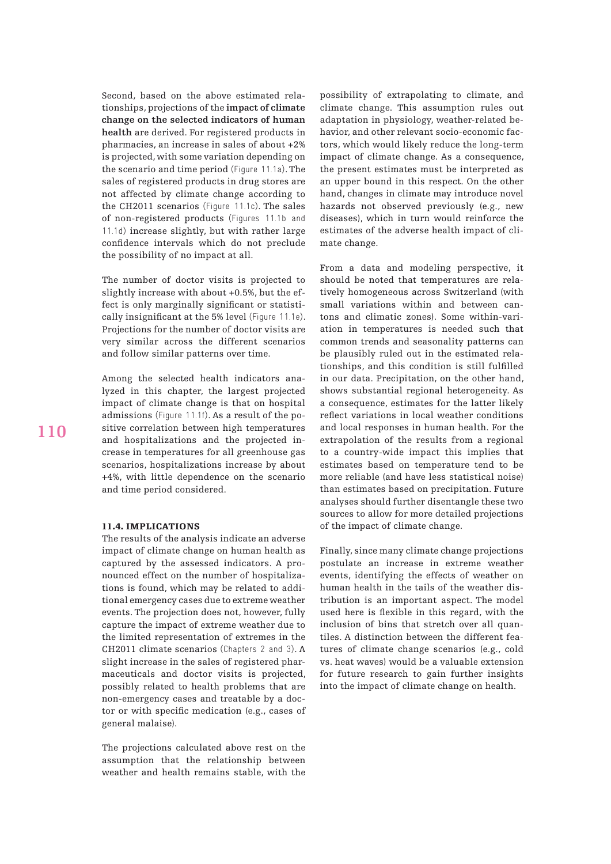Second, based on the above estimated relationships, projections of the **impact of climate change on the selected indicators of human health** are derived. For registered products in pharmacies, an increase in sales of about +2% is projected, with some variation depending on the scenario and time period (Figure 11.1a). The sales of registered products in drug stores are not affected by climate change according to the CH2011 scenarios (Figure 11.1c). The sales of non-registered products (Figures 11.1b and 11.1d) increase slightly, but with rather large confidence intervals which do not preclude the possibility of no impact at all.

The number of doctor visits is projected to slightly increase with about +0.5%, but the effect is only marginally significant or statistically insignificant at the 5% level (Figure 11.1e). Projections for the number of doctor visits are very similar across the different scenarios and follow similar patterns over time.

Among the selected health indicators analyzed in this chapter, the largest projected impact of climate change is that on hospital admissions (Figure 11.1f). As a result of the positive correlation between high temperatures and hospitalizations and the projected increase in temperatures for all greenhouse gas scenarios, hospitalizations increase by about +4%, with little dependence on the scenario and time period considered.

## 11.4. Implications

The results of the analysis indicate an adverse impact of climate change on human health as captured by the assessed indicators. A pronounced effect on the number of hospitalizations is found, which may be related to additional emergency cases due to extreme weather events. The projection does not, however, fully capture the impact of extreme weather due to the limited representation of extremes in the CH2011 climate scenarios (Chapters 2 and 3). A slight increase in the sales of registered pharmaceuticals and doctor visits is projected, possibly related to health problems that are non-emergency cases and treatable by a doctor or with specific medication (e.g., cases of general malaise).

The projections calculated above rest on the assumption that the relationship between weather and health remains stable, with the

possibility of extrapolating to climate, and climate change. This assumption rules out adaptation in physiology, weather-related behavior, and other relevant socio-economic factors, which would likely reduce the long-term impact of climate change. As a consequence, the present estimates must be interpreted as an upper bound in this respect. On the other hand, changes in climate may introduce novel hazards not observed previously (e.g., new diseases), which in turn would reinforce the estimates of the adverse health impact of climate change.

From a data and modeling perspective, it should be noted that temperatures are relatively homogeneous across Switzerland (with small variations within and between cantons and climatic zones). Some within-variation in temperatures is needed such that common trends and seasonality patterns can be plausibly ruled out in the estimated relationships, and this condition is still fulfilled in our data. Precipitation, on the other hand, shows substantial regional heterogeneity. As a consequence, estimates for the latter likely reflect variations in local weather conditions and local responses in human health. For the extrapolation of the results from a regional to a country-wide impact this implies that estimates based on temperature tend to be more reliable (and have less statistical noise) than estimates based on precipitation. Future analyses should further disentangle these two sources to allow for more detailed projections of the impact of climate change.

Finally, since many climate change projections postulate an increase in extreme weather events, identifying the effects of weather on human health in the tails of the weather distribution is an important aspect. The model used here is flexible in this regard, with the inclusion of bins that stretch over all quantiles. A distinction between the different features of climate change scenarios (e.g., cold vs. heat waves) would be a valuable extension for future research to gain further insights into the impact of climate change on health.